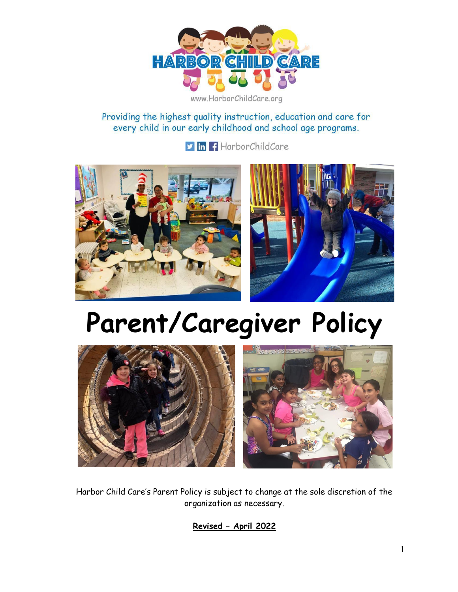

www.HarborChildCare.org

Providing the highest quality instruction, education and care for every child in our early childhood and school age programs.

**v** in f HarborChildCare



# **Parent/Caregiver Policy**



Harbor Child Care's Parent Policy is subject to change at the sole discretion of the organization as necessary.

**Revised – April 2022**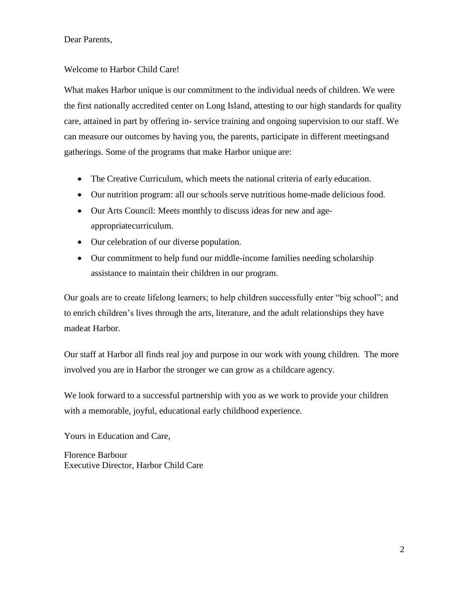Dear Parents,

#### Welcome to Harbor Child Care!

What makes Harbor unique is our commitment to the individual needs of children. We were the first nationally accredited center on Long Island, attesting to our high standards for quality care, attained in part by offering in- service training and ongoing supervision to our staff. We can measure our outcomes by having you, the parents, participate in different meetingsand gatherings. Some of the programs that make Harbor unique are:

- The Creative Curriculum, which meets the national criteria of early education.
- Our nutrition program: all our schools serve nutritious home-made delicious food.
- Our Arts Council: Meets monthly to discuss ideas for new and ageappropriatecurriculum.
- Our celebration of our diverse population.
- Our commitment to help fund our middle-income families needing scholarship assistance to maintain their children in our program.

Our goals are to create lifelong learners; to help children successfully enter "big school"; and to enrich children's lives through the arts, literature, and the adult relationships they have made at Harbor.

Our staff at Harbor all finds real joy and purpose in our work with young children. The more involved you are in Harbor the stronger we can grow as a childcare agency.

We look forward to a successful partnership with you as we work to provide your children with a memorable, joyful, educational early childhood experience.

Yours in Education and Care,

Florence Barbour Executive Director, Harbor Child Care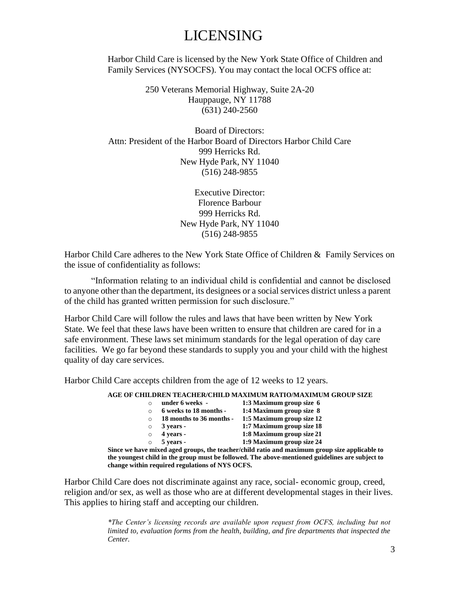# LICENSING

Harbor Child Care is licensed by the New York State Office of Children and Family Services (NYSOCFS). You may contact the local OCFS office at:

> 250 Veterans Memorial Highway, Suite 2A-20 Hauppauge, NY 11788 (631) 240-2560

Board of Directors: Attn: President of the Harbor Board of Directors Harbor Child Care 999 Herricks Rd. New Hyde Park, NY 11040 (516) 248-9855

> Executive Director: Florence Barbour 999 Herricks Rd. New Hyde Park, NY 11040 (516) 248-9855

Harbor Child Care adheres to the New York State Office of Children & Family Services on the issue of confidentiality as follows:

"Information relating to an individual child is confidential and cannot be disclosed to anyone other than the department, its designees or a social services district unless a parent of the child has granted written permission for such disclosure."

Harbor Child Care will follow the rules and laws that have been written by New York State. We feel that these laws have been written to ensure that children are cared for in a safe environment. These laws set minimum standards for the legal operation of day care facilities. We go far beyond these standards to supply you and your child with the highest quality of day care services.

Harbor Child Care accepts children from the age of 12 weeks to 12 years.

**AGE OF CHILDREN TEACHER/CHILD MAXIMUM RATIO/MAXIMUM GROUP SIZE**

|                                                              | under 6 weeks -          | 1:3 Maximum group size 6  |  |  |  |
|--------------------------------------------------------------|--------------------------|---------------------------|--|--|--|
| $\Omega$                                                     | 6 weeks to 18 months -   | 1:4 Maximum group size 8  |  |  |  |
| $\Omega$                                                     | 18 months to 36 months - | 1:5 Maximum group size 12 |  |  |  |
| $\circ$                                                      | $3$ years -              | 1:7 Maximum group size 18 |  |  |  |
| $\Omega$                                                     | 4 years -                | 1:8 Maximum group size 21 |  |  |  |
| $\Omega$                                                     | 5 years -                | 1:9 Maximum group size 24 |  |  |  |
| e mixed aged groups, the teacher/child ratio and maximum gro |                          |                           |  |  |  |

**Since we have mixed aged groups, the teacher/child ratio and maximum group size applicable to the youngest child in the group must be followed. The above-mentioned guidelines are subject to change within required regulations of NYS OCFS.**

Harbor Child Care does not discriminate against any race, social- economic group, creed, religion and/or sex, as well as those who are at different developmental stages in their lives. This applies to hiring staff and accepting our children.

> *\*The Center's licensing records are available upon request from OCFS, including but not limited to, evaluation forms from the health, building, and fire departments that inspected the Center.*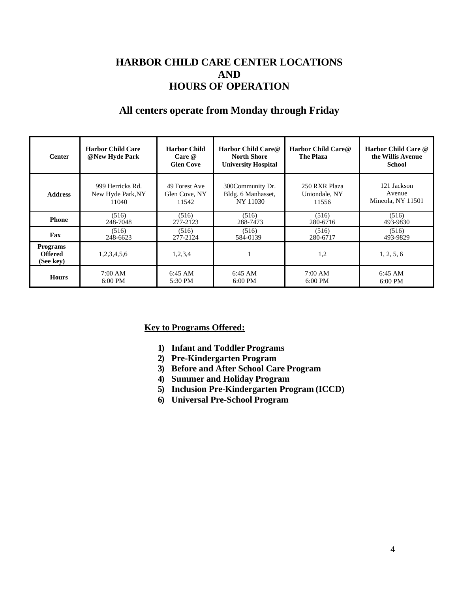## **HARBOR CHILD CARE CENTER LOCATIONS AND HOURS OF OPERATION**

### **All centers operate from Monday through Friday**

| <b>Center</b>                                  | <b>Harbor Child Care</b><br>@New Hyde Park | <b>Harbor Child</b><br>Care @<br><b>Glen Cove</b> | Harbor Child Care@<br><b>North Shore</b><br><b>University Hospital</b> | Harbor Child Care@<br><b>The Plaza</b> | Harbor Child Care @<br>the Willis Avenue<br><b>School</b> |
|------------------------------------------------|--------------------------------------------|---------------------------------------------------|------------------------------------------------------------------------|----------------------------------------|-----------------------------------------------------------|
| <b>Address</b>                                 | 999 Herricks Rd.                           | 49 Forest Ave                                     | 300Community Dr.                                                       | 250 RXR Plaza                          | 121 Jackson                                               |
|                                                | New Hyde Park, NY                          | Glen Cove, NY                                     | Bldg. 6 Manhasset,                                                     | Uniondale, NY                          | Avenue                                                    |
|                                                | 11040                                      | 11542                                             | NY 11030                                                               | 11556                                  | Mineola, NY 11501                                         |
| <b>Phone</b>                                   | (516)                                      | (516)                                             | (516)                                                                  | (516)                                  | (516)                                                     |
|                                                | 248-7048                                   | 277-2123                                          | 288-7473                                                               | 280-6716                               | 493-9830                                                  |
| Fax                                            | (516)                                      | (516)                                             | (516)                                                                  | (516)                                  | (516)                                                     |
|                                                | 248-6623                                   | 277-2124                                          | 584-0139                                                               | 280-6717                               | 493-9829                                                  |
| <b>Programs</b><br><b>Offered</b><br>(See key) | 1,2,3,4,5,6                                | 1,2,3,4                                           |                                                                        | 1,2                                    | 1, 2, 5, 6                                                |
| <b>Hours</b>                                   | 7:00 AM                                    | $6:45$ AM                                         | $6:45$ AM                                                              | 7:00 AM                                | $6:45$ AM                                                 |
|                                                | $6:00$ PM                                  | $5:30$ PM                                         | $6:00$ PM                                                              | $6:00$ PM                              | $6:00$ PM                                                 |

#### **Key to Programs Offered:**

- **1) Infant and Toddler Programs**
- **2) Pre-Kindergarten Program**
- **3) Before and After School Care Program**
- **4) Summer and Holiday Program**
- **5) Inclusion Pre-Kindergarten Program (ICCD)**
- **6) Universal Pre-School Program**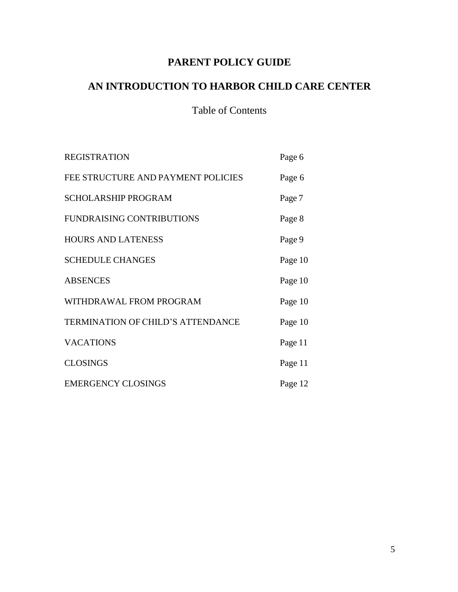# **PARENT POLICY GUIDE**

# **AN INTRODUCTION TO HARBOR CHILD CARE CENTER**

# Table of Contents

| <b>REGISTRATION</b>                | Page 6  |
|------------------------------------|---------|
| FEE STRUCTURE AND PAYMENT POLICIES | Page 6  |
| <b>SCHOLARSHIP PROGRAM</b>         | Page 7  |
| <b>FUNDRAISING CONTRIBUTIONS</b>   | Page 8  |
| <b>HOURS AND LATENESS</b>          | Page 9  |
| <b>SCHEDULE CHANGES</b>            | Page 10 |
| <b>ABSENCES</b>                    | Page 10 |
| WITHDRAWAL FROM PROGRAM            | Page 10 |
| TERMINATION OF CHILD'S ATTENDANCE  | Page 10 |
| <b>VACATIONS</b>                   | Page 11 |
| <b>CLOSINGS</b>                    | Page 11 |
| <b>EMERGENCY CLOSINGS</b>          | Page 12 |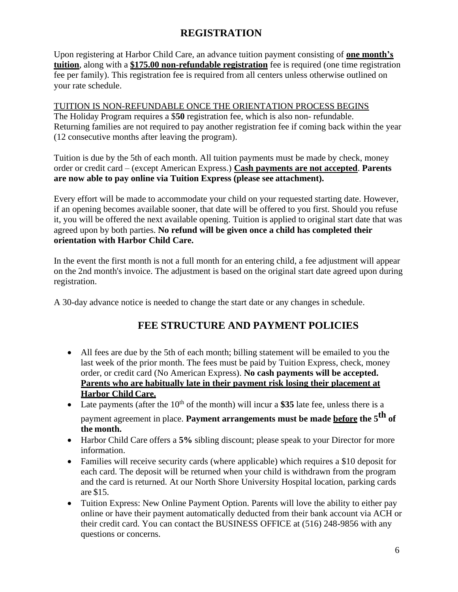## **REGISTRATION**

Upon registering at Harbor Child Care, an advance tuition payment consisting of **one month's tuition**, along with a **\$175.00 non-refundable registration** fee is required (one time registration fee per family). This registration fee is required from all centers unless otherwise outlined on your rate schedule.

TUITION IS NON-REFUNDABLE ONCE THE ORIENTATION PROCESS BEGINS The Holiday Program requires a \$**50** registration fee, which is also non- refundable. Returning families are not required to pay another registration fee if coming back within the year (12 consecutive months after leaving the program).

Tuition is due by the 5th of each month. All tuition payments must be made by check, money order or credit card – (except American Express.) **Cash payments are not accepted**. **Parents are now able to pay online via Tuition Express (please see attachment).**

Every effort will be made to accommodate your child on your requested starting date. However, if an opening becomes available sooner, that date will be offered to you first. Should you refuse it, you will be offered the next available opening. Tuition is applied to original start date that was agreed upon by both parties. **No refund will be given once a child has completed their orientation with Harbor Child Care.**

In the event the first month is not a full month for an entering child, a fee adjustment will appear on the 2nd month's invoice. The adjustment is based on the original start date agreed upon during registration.

A 30-day advance notice is needed to change the start date or any changes in schedule.

# **FEE STRUCTURE AND PAYMENT POLICIES**

- All fees are due by the 5th of each month; billing statement will be emailed to you the last week of the prior month. The fees must be paid by Tuition Express, check, money order, or credit card (No American Express). **No cash payments will be accepted. Parents who are habitually late in their payment risk losing their placement at Harbor Child Care.**
- Late payments (after the  $10<sup>th</sup>$  of the month) will incur a \$35 late fee, unless there is a payment agreement in place. **Payment arrangements must be made before the 5 th of the month.**
- Harbor Child Care offers a **5%** sibling discount; please speak to your Director for more information.
- Families will receive security cards (where applicable) which requires a \$10 deposit for each card. The deposit will be returned when your child is withdrawn from the program and the card is returned. At our North Shore University Hospital location, parking cards are \$15.
- Tuition Express: New Online Payment Option. Parents will love the ability to either pay online or have their payment automatically deducted from their bank account via ACH or their credit card. You can contact the BUSINESS OFFICE at (516) 248-9856 with any questions or concerns.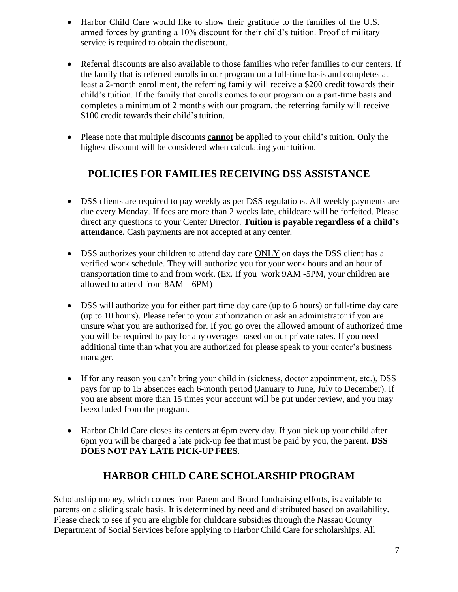- Harbor Child Care would like to show their gratitude to the families of the U.S. armed forces by granting a 10% discount for their child's tuition. Proof of military service is required to obtain the discount.
- Referral discounts are also available to those families who refer families to our centers. If the family that is referred enrolls in our program on a full-time basis and completes at least a 2-month enrollment, the referring family will receive a \$200 credit towards their child's tuition. If the family that enrolls comes to our program on a part-time basis and completes a minimum of 2 months with our program, the referring family will receive \$100 credit towards their child's tuition.
- Please note that multiple discounts **cannot** be applied to your child's tuition. Only the highest discount will be considered when calculating yourtuition.

# **POLICIES FOR FAMILIES RECEIVING DSS ASSISTANCE**

- DSS clients are required to pay weekly as per DSS regulations. All weekly payments are due every Monday. If fees are more than 2 weeks late, childcare will be forfeited. Please direct any questions to your Center Director. **Tuition is payable regardless of a child's attendance.** Cash payments are not accepted at any center.
- DSS authorizes your children to attend day care ONLY on days the DSS client has a verified work schedule. They will authorize you for your work hours and an hour of transportation time to and from work. (Ex. If you work 9AM -5PM, your children are allowed to attend from 8AM – 6PM)
- DSS will authorize you for either part time day care (up to 6 hours) or full-time day care (up to 10 hours). Please refer to your authorization or ask an administrator if you are unsure what you are authorized for. If you go over the allowed amount of authorized time you will be required to pay for any overages based on our private rates. If you need additional time than what you are authorized for please speak to your center's business manager.
- If for any reason you can't bring your child in (sickness, doctor appointment, etc.), DSS pays for up to 15 absences each 6-month period (January to June, July to December). If you are absent more than 15 times your account will be put under review, and you may beexcluded from the program.
- Harbor Child Care closes its centers at 6pm every day. If you pick up your child after 6pm you will be charged a late pick-up fee that must be paid by you, the parent. **DSS DOES NOT PAY LATE PICK-UP FEES**.

# **HARBOR CHILD CARE SCHOLARSHIP PROGRAM**

Scholarship money, which comes from Parent and Board fundraising efforts, is available to parents on a sliding scale basis. It is determined by need and distributed based on availability. Please check to see if you are eligible for childcare subsidies through the Nassau County Department of Social Services before applying to Harbor Child Care for scholarships. All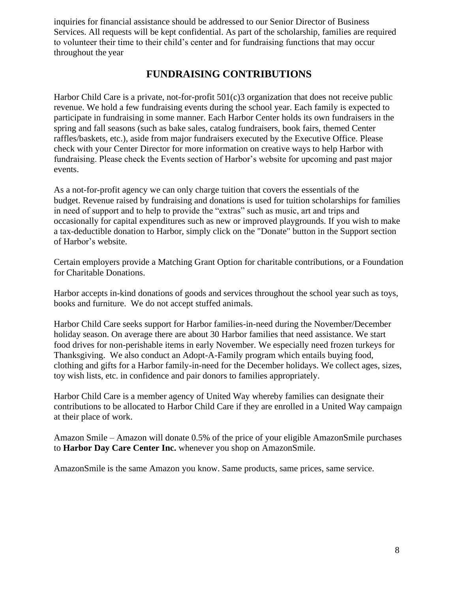inquiries for financial assistance should be addressed to our Senior Director of Business Services. All requests will be kept confidential. As part of the scholarship, families are required to volunteer their time to their child's center and for fundraising functions that may occur throughout the year

#### **FUNDRAISING CONTRIBUTIONS**

Harbor Child Care is a private, not-for-profit 501(c)3 organization that does not receive public revenue. We hold a few fundraising events during the school year. Each family is expected to participate in fundraising in some manner. Each Harbor Center holds its own fundraisers in the spring and fall seasons (such as bake sales, catalog fundraisers, book fairs, themed Center raffles/baskets, etc.), aside from major fundraisers executed by the Executive Office. Please check with your Center Director for more information on creative ways to help Harbor with fundraising. Please check the Events section of Harbor's website for upcoming and past major events.

As a not-for-profit agency we can only charge tuition that covers the essentials of the budget. Revenue raised by fundraising and donations is used for tuition scholarships for families in need of support and to help to provide the "extras" such as music, art and trips and occasionally for capital expenditures such as new or improved playgrounds. If you wish to make a tax-deductible donation to Harbor, simply click on the "Donate" button in the Support section of Harbor's website.

Certain employers provide a Matching Grant Option for charitable contributions, or a Foundation for Charitable Donations.

Harbor accepts in-kind donations of goods and services throughout the school year such as toys, books and furniture. We do not accept stuffed animals.

Harbor Child Care seeks support for Harbor families-in-need during the November/December holiday season. On average there are about 30 Harbor families that need assistance. We start food drives for non-perishable items in early November. We especially need frozen turkeys for Thanksgiving. We also conduct an Adopt-A-Family program which entails buying food, clothing and gifts for a Harbor family-in-need for the December holidays. We collect ages, sizes, toy wish lists, etc. in confidence and pair donors to families appropriately.

Harbor Child Care is a member agency of United Way whereby families can designate their contributions to be allocated to Harbor Child Care if they are enrolled in a United Way campaign at their place of work.

Amazon Smile – Amazon will donate 0.5% of the price of your eligible AmazonSmile purchases to **Harbor Day Care Center Inc.** whenever you shop on AmazonSmile.

AmazonSmile is the same Amazon you know. Same products, same prices, same service.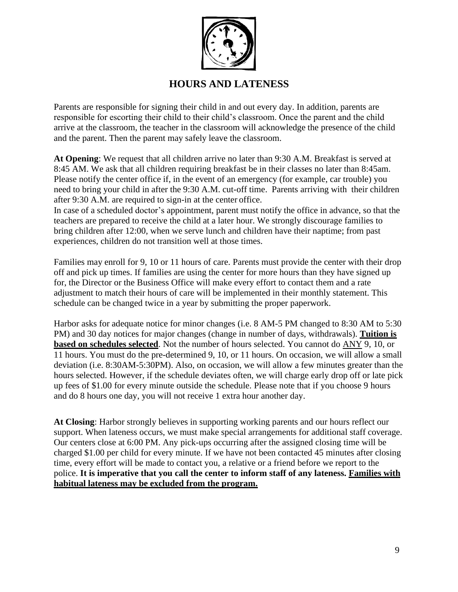

## **HOURS AND LATENESS**

Parents are responsible for signing their child in and out every day. In addition, parents are responsible for escorting their child to their child's classroom. Once the parent and the child arrive at the classroom, the teacher in the classroom will acknowledge the presence of the child and the parent. Then the parent may safely leave the classroom.

**At Opening**: We request that all children arrive no later than 9:30 A.M. Breakfast is served at 8:45 AM. We ask that all children requiring breakfast be in their classes no later than 8:45am. Please notify the center office if, in the event of an emergency (for example, car trouble) you need to bring your child in after the 9:30 A.M. cut-off time. Parents arriving with their children after 9:30 A.M. are required to sign-in at the center office.

In case of a scheduled doctor's appointment, parent must notify the office in advance, so that the teachers are prepared to receive the child at a later hour. We strongly discourage families to bring children after 12:00, when we serve lunch and children have their naptime; from past experiences, children do not transition well at those times.

Families may enroll for 9, 10 or 11 hours of care. Parents must provide the center with their drop off and pick up times. If families are using the center for more hours than they have signed up for, the Director or the Business Office will make every effort to contact them and a rate adjustment to match their hours of care will be implemented in their monthly statement. This schedule can be changed twice in a year by submitting the proper paperwork.

Harbor asks for adequate notice for minor changes (i.e. 8 AM-5 PM changed to 8:30 AM to 5:30 PM) and 30 day notices for major changes (change in number of days, withdrawals). **Tuition is based on schedules selected**. Not the number of hours selected. You cannot do ANY 9, 10, or 11 hours. You must do the pre-determined 9, 10, or 11 hours. On occasion, we will allow a small deviation (i.e. 8:30AM-5:30PM). Also, on occasion, we will allow a few minutes greater than the hours selected. However, if the schedule deviates often, we will charge early drop off or late pick up fees of \$1.00 for every minute outside the schedule. Please note that if you choose 9 hours and do 8 hours one day, you will not receive 1 extra hour another day.

**At Closing**: Harbor strongly believes in supporting working parents and our hours reflect our support. When lateness occurs, we must make special arrangements for additional staff coverage. Our centers close at 6:00 PM. Any pick-ups occurring after the assigned closing time will be charged \$1.00 per child for every minute. If we have not been contacted 45 minutes after closing time, every effort will be made to contact you, a relative or a friend before we report to the police. **It is imperative that you call the center to inform staff of any lateness. Families with habitual lateness may be excluded from the program.**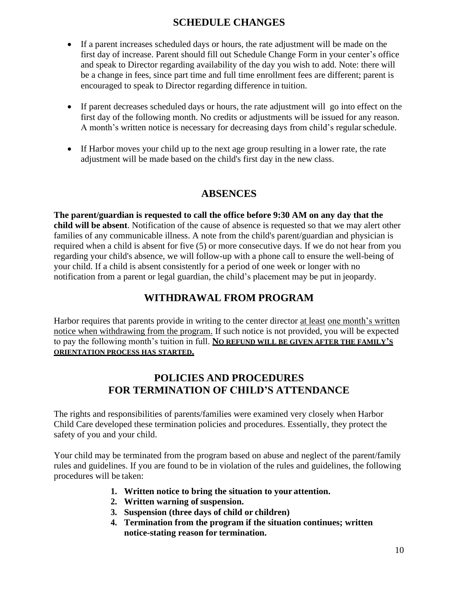# **SCHEDULE CHANGES**

- If a parent increases scheduled days or hours, the rate adjustment will be made on the first day of increase. Parent should fill out Schedule Change Form in your center's office and speak to Director regarding availability of the day you wish to add. Note: there will be a change in fees, since part time and full time enrollment fees are different; parent is encouraged to speak to Director regarding difference in tuition.
- If parent decreases scheduled days or hours, the rate adjustment will go into effect on the first day of the following month. No credits or adjustments will be issued for any reason. A month's written notice is necessary for decreasing days from child's regularschedule.
- If Harbor moves your child up to the next age group resulting in a lower rate, the rate adjustment will be made based on the child's first day in the new class.

# **ABSENCES**

**The parent/guardian is requested to call the office before 9:30 AM on any day that the child will be absent**. Notification of the cause of absence is requested so that we may alert other families of any communicable illness. A note from the child's parent/guardian and physician is required when a child is absent for five (5) or more consecutive days. If we do not hear from you regarding your child's absence, we will follow-up with a phone call to ensure the well-being of your child. If a child is absent consistently for a period of one week or longer with no notification from a parent or legal guardian, the child's placement may be put in jeopardy.

# **WITHDRAWAL FROM PROGRAM**

Harbor requires that parents provide in writing to the center director at least one month's written notice when withdrawing from the program. If such notice is not provided, you will be expected to pay the following month's tuition in full. **NO REFUND WILL BE GIVEN AFTER THE FAMILY'S ORIENTATION PROCESS HAS STARTED.**

# **POLICIES AND PROCEDURES FOR TERMINATION OF CHILD'S ATTENDANCE**

The rights and responsibilities of parents/families were examined very closely when Harbor Child Care developed these termination policies and procedures. Essentially, they protect the safety of you and your child.

Your child may be terminated from the program based on abuse and neglect of the parent/family rules and guidelines. If you are found to be in violation of the rules and guidelines, the following procedures will be taken:

- **1. Written notice to bring the situation to your attention.**
- **2. Written warning of suspension.**
- **3. Suspension (three days of child or children)**
- **4. Termination from the program if the situation continues; written notice-stating reason for termination.**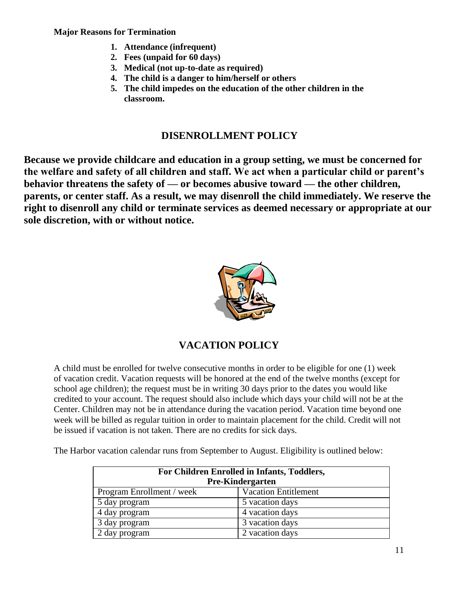#### **Major Reasons for Termination**

- **1. Attendance (infrequent)**
- **2. Fees (unpaid for 60 days)**
- **3. Medical (not up-to-date as required)**
- **4. The child is a danger to him/herself or others**
- **5. The child impedes on the education of the other children in the classroom.**

#### **DISENROLLMENT POLICY**

**Because we provide childcare and education in a group setting, we must be concerned for the welfare and safety of all children and staff. We act when a particular child or parent's behavior threatens the safety of — or becomes abusive toward — the other children, parents, or center staff. As a result, we may disenroll the child immediately. We reserve the right to disenroll any child or terminate services as deemed necessary or appropriate at our sole discretion, with or without notice.**



# **VACATION POLICY**

A child must be enrolled for twelve consecutive months in order to be eligible for one (1) week of vacation credit. Vacation requests will be honored at the end of the twelve months (except for school age children); the request must be in writing 30 days prior to the dates you would like credited to your account. The request should also include which days your child will not be at the Center. Children may not be in attendance during the vacation period. Vacation time beyond one week will be billed as regular tuition in order to maintain placement for the child. Credit will not be issued if vacation is not taken. There are no credits for sick days.

The Harbor vacation calendar runs from September to August. Eligibility is outlined below:

| For Children Enrolled in Infants, Toddlers,<br><b>Pre-Kindergarten</b> |                             |  |  |  |
|------------------------------------------------------------------------|-----------------------------|--|--|--|
| Program Enrollment / week                                              | <b>Vacation Entitlement</b> |  |  |  |
| 5 day program                                                          | 5 vacation days             |  |  |  |
| 4 day program                                                          | 4 vacation days             |  |  |  |
| 3 day program                                                          | 3 vacation days             |  |  |  |
| 2 day program                                                          | 2 vacation days             |  |  |  |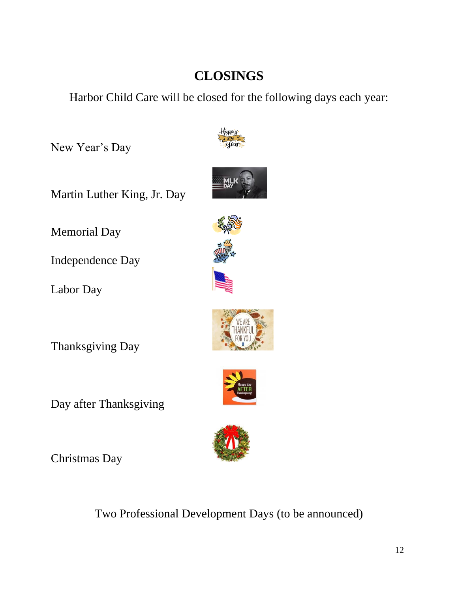# **CLOSINGS**

Harbor Child Care will be closed for the following days each year:

New Year's Day



Memorial Day

Independence Day

Labor Day

Thanksgiving Day

Day after Thanksgiving

Christmas Day











Two Professional Development Days (to be announced)